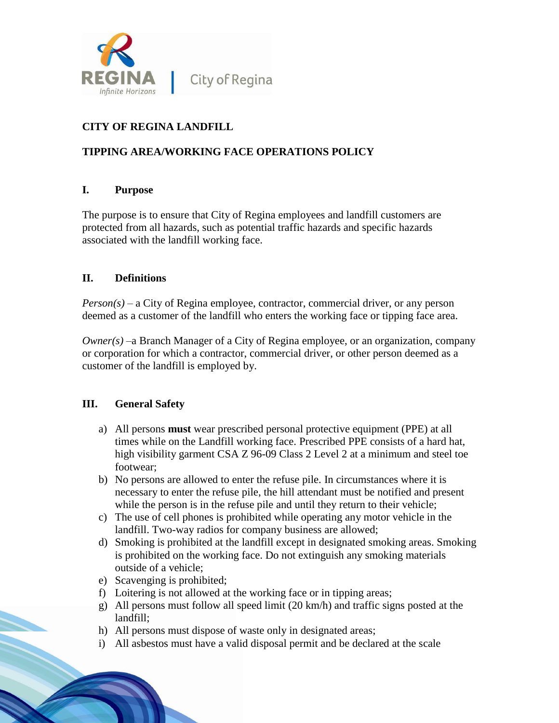

# **CITY OF REGINA LANDFILL**

## **TIPPING AREA/WORKING FACE OPERATIONS POLICY**

### **I. Purpose**

The purpose is to ensure that City of Regina employees and landfill customers are protected from all hazards, such as potential traffic hazards and specific hazards associated with the landfill working face.

### **II. Definitions**

*Person(s)* – a City of Regina employee, contractor, commercial driver, or any person deemed as a customer of the landfill who enters the working face or tipping face area.

*Owner(s)* –a Branch Manager of a City of Regina employee, or an organization, company or corporation for which a contractor, commercial driver, or other person deemed as a customer of the landfill is employed by.

### **III. General Safety**

- a) All persons **must** wear prescribed personal protective equipment (PPE) at all times while on the Landfill working face. Prescribed PPE consists of a hard hat, high visibility garment CSA Z 96-09 Class 2 Level 2 at a minimum and steel toe footwear;
- b) No persons are allowed to enter the refuse pile. In circumstances where it is necessary to enter the refuse pile, the hill attendant must be notified and present while the person is in the refuse pile and until they return to their vehicle;
- c) The use of cell phones is prohibited while operating any motor vehicle in the landfill. Two-way radios for company business are allowed;
- d) Smoking is prohibited at the landfill except in designated smoking areas. Smoking is prohibited on the working face. Do not extinguish any smoking materials outside of a vehicle;
- e) Scavenging is prohibited;
- f) Loitering is not allowed at the working face or in tipping areas;
- g) All persons must follow all speed limit (20 km/h) and traffic signs posted at the landfill;
- h) All persons must dispose of waste only in designated areas;
- i) All asbestos must have a valid disposal permit and be declared at the scale